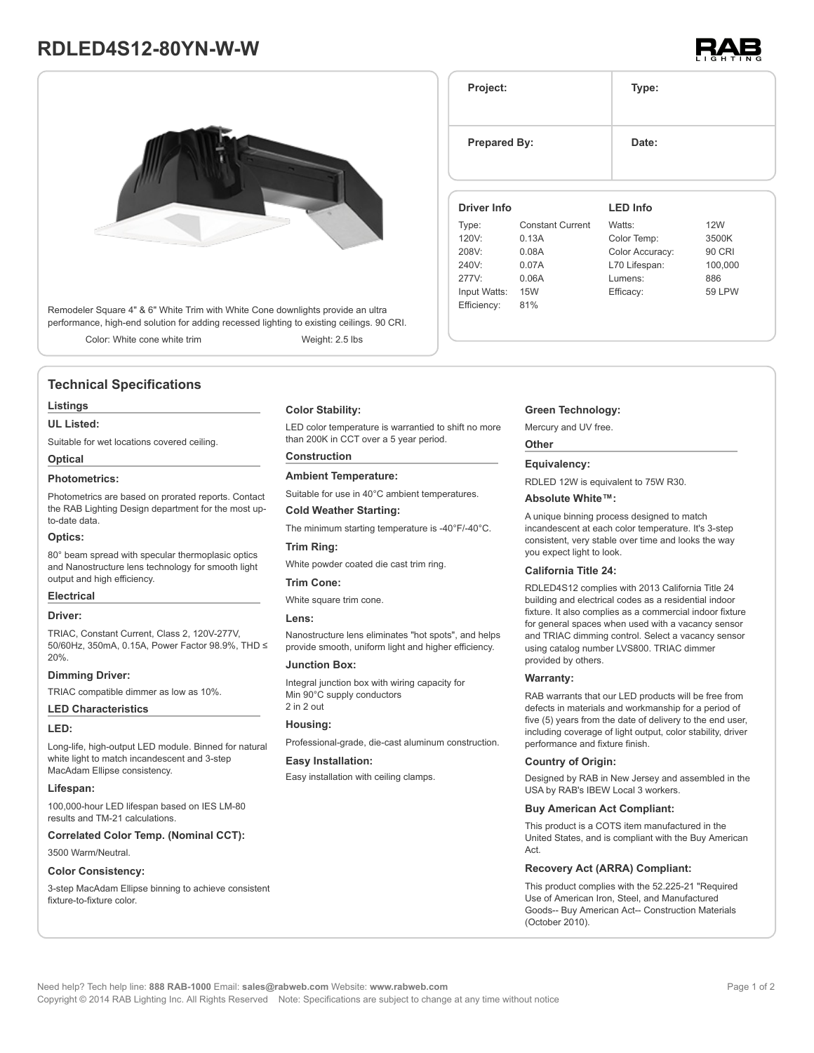# **RDLED4S12-80YN-W-W**



Remodeler Square 4" & 6" White Trim with White Cone downlights provide an ultra performance, high-end solution for adding recessed lighting to existing ceilings. 90 CRI.

Color: White cone white trim Weight: 2.5 lbs

# **Technical Specifications**

#### **Listings**

#### **UL Listed:**

Suitable for wet locations covered ceiling.

# **Optical**

### **Photometrics:**

Photometrics are based on prorated reports. Contact the RAB Lighting Design department for the most upto-date data.

#### **Optics:**

80° beam spread with specular thermoplasic optics and Nanostructure lens technology for smooth light output and high efficiency.

#### **Electrical**

# **Driver:**

TRIAC, Constant Current, Class 2, 120V-277V, 50/60Hz, 350mA, 0.15A, Power Factor 98.9%, THD ≤ 20%.

#### **Dimming Driver:**

TRIAC compatible dimmer as low as 10%.

#### **LED Characteristics**

#### **LED:**

Long-life, high-output LED module. Binned for natural white light to match incandescent and 3-step MacAdam Ellipse consistency.

#### **Lifespan:**

100,000-hour LED lifespan based on IES LM-80 results and TM-21 calculations.

**Correlated Color Temp. (Nominal CCT):**

# 3500 Warm/Neutral.

#### **Color Consistency:**

3-step MacAdam Ellipse binning to achieve consistent fixture-to-fixture color.

### **Color Stability:**

LED color temperature is warrantied to shift no more than 200K in CCT over a 5 year period.

# **Construction**

**Ambient Temperature:**

Suitable for use in 40°C ambient temperatures.

### **Cold Weather Starting:**

The minimum starting temperature is -40°F/-40°C.

# **Trim Ring:**

White powder coated die cast trim ring.

#### **Trim Cone:**

White square trim cone.

#### **Lens:**

Nanostructure lens eliminates "hot spots", and helps provide smooth, uniform light and higher efficiency.

#### **Junction Box:**

Integral junction box with wiring capacity for Min 90°C supply conductors 2 in 2 out

#### **Housing:**

Professional-grade, die-cast aluminum construction.

#### **Easy Installation:**

Easy installation with ceiling clamps.

# **Project: Type: Prepared By:** Date: **Driver Info** Type: Constant Current **LED Info** Watts: 12W

| . 7.12.1     |       |                 |         |
|--------------|-------|-----------------|---------|
| 120V:        | 0.13A | Color Temp:     | 3500K   |
| 208V:        | 0.08A | Color Accuracy: | 90 CRI  |
| 240V:        | 0.07A | L70 Lifespan:   | 100,000 |
| 277V:        | 0.06A | Lumens:         | 886     |
| Input Watts: | 15W   | Efficacy:       | 59 LPW  |
| Efficiency:  | 81%   |                 |         |
|              |       |                 |         |

#### **Green Technology:**

Mercury and UV free.

### **Other**

#### **Equivalency:**

RDLED 12W is equivalent to 75W R30.

#### **Absolute White™:**

A unique binning process designed to match incandescent at each color temperature. It's 3-step consistent, very stable over time and looks the way you expect light to look.

#### **California Title 24:**

RDLED4S12 complies with 2013 California Title 24 building and electrical codes as a residential indoor fixture. It also complies as a commercial indoor fixture for general spaces when used with a vacancy sensor and TRIAC dimming control. Select a vacancy sensor using catalog number LVS800. TRIAC dimmer provided by others.

#### **Warranty:**

RAB warrants that our LED products will be free from defects in materials and workmanship for a period of five (5) years from the date of delivery to the end user, including coverage of light output, color stability, driver performance and fixture finish.

#### **Country of Origin:**

Designed by RAB in New Jersey and assembled in the USA by RAB's IBEW Local 3 workers.

#### **Buy American Act Compliant:**

This product is a COTS item manufactured in the United States, and is compliant with the Buy American Act.

# **Recovery Act (ARRA) Compliant:**

This product complies with the 52.225-21 "Required Use of American Iron, Steel, and Manufactured Goods-- Buy American Act-- Construction Materials (October 2010).